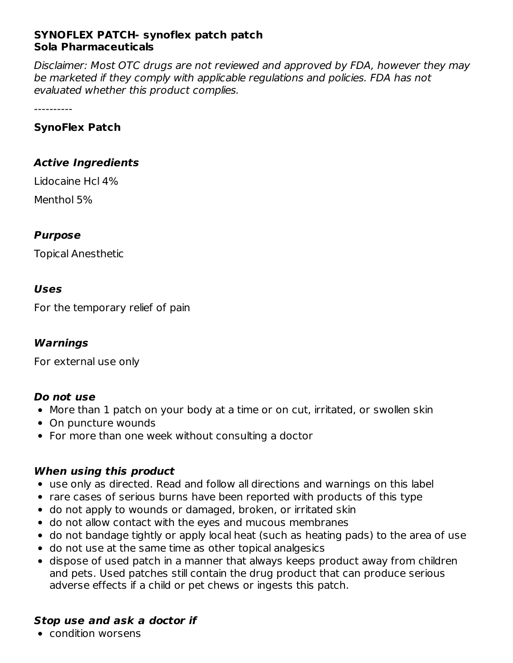### **SYNOFLEX PATCH- synoflex patch patch Sola Pharmaceuticals**

Disclaimer: Most OTC drugs are not reviewed and approved by FDA, however they may be marketed if they comply with applicable regulations and policies. FDA has not evaluated whether this product complies.

----------

## **SynoFlex Patch**

## **Active Ingredients**

Lidocaine Hcl 4% Menthol 5%

## **Purpose**

Topical Anesthetic

## **Uses**

For the temporary relief of pain

## **Warnings**

For external use only

## **Do not use**

- More than 1 patch on your body at a time or on cut, irritated, or swollen skin
- On puncture wounds
- For more than one week without consulting a doctor

## **When using this product**

- use only as directed. Read and follow all directions and warnings on this label
- rare cases of serious burns have been reported with products of this type
- do not apply to wounds or damaged, broken, or irritated skin
- do not allow contact with the eyes and mucous membranes
- do not bandage tightly or apply local heat (such as heating pads) to the area of use
- do not use at the same time as other topical analgesics
- dispose of used patch in a manner that always keeps product away from children and pets. Used patches still contain the drug product that can produce serious adverse effects if a child or pet chews or ingests this patch.

## **Stop use and ask a doctor if**

condition worsens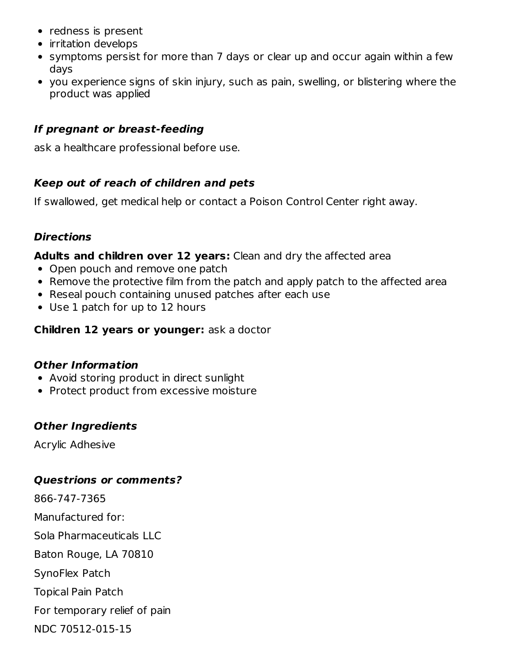- redness is present
- irritation develops
- symptoms persist for more than 7 days or clear up and occur again within a few days
- you experience signs of skin injury, such as pain, swelling, or blistering where the product was applied

# **If pregnant or breast-feeding**

ask a healthcare professional before use.

# **Keep out of reach of children and pets**

If swallowed, get medical help or contact a Poison Control Center right away.

## **Directions**

## **Adults and children over 12 years:** Clean and dry the affected area

- Open pouch and remove one patch
- Remove the protective film from the patch and apply patch to the affected area
- Reseal pouch containing unused patches after each use
- Use 1 patch for up to 12 hours

# **Children 12 years or younger:** ask a doctor

# **Other Information**

- Avoid storing product in direct sunlight
- Protect product from excessive moisture

# **Other Ingredients**

Acrylic Adhesive

# **Questrions or comments?**

866-747-7365 Manufactured for: Sola Pharmaceuticals LLC Baton Rouge, LA 70810 SynoFlex Patch Topical Pain Patch For temporary relief of pain NDC 70512-015-15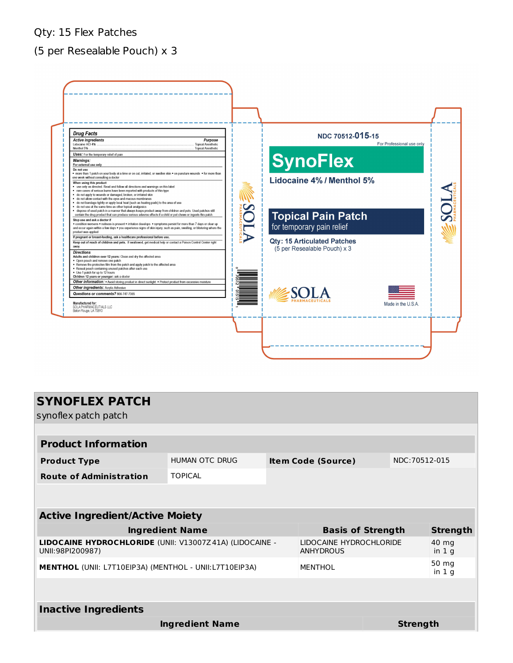### Qty: 15 Flex Patches

## (5 per Resealable Pouch) x 3



| <b>SYNOFLEX PATCH</b><br>synoflex patch patch                               |                                             |  |                           |                  |                 |  |  |  |  |  |  |  |  |
|-----------------------------------------------------------------------------|---------------------------------------------|--|---------------------------|------------------|-----------------|--|--|--|--|--|--|--|--|
|                                                                             |                                             |  |                           |                  |                 |  |  |  |  |  |  |  |  |
| <b>Product Information</b>                                                  |                                             |  |                           |                  |                 |  |  |  |  |  |  |  |  |
| <b>Product Type</b>                                                         | HUMAN OTC DRUG                              |  | <b>Item Code (Source)</b> |                  | NDC:70512-015   |  |  |  |  |  |  |  |  |
| <b>Route of Administration</b>                                              | <b>TOPICAL</b>                              |  |                           |                  |                 |  |  |  |  |  |  |  |  |
|                                                                             |                                             |  |                           |                  |                 |  |  |  |  |  |  |  |  |
| <b>Active Ingredient/Active Moiety</b>                                      |                                             |  |                           |                  |                 |  |  |  |  |  |  |  |  |
| <b>Ingredient Name</b>                                                      | <b>Basis of Strength</b>                    |  |                           | <b>Strength</b>  |                 |  |  |  |  |  |  |  |  |
| LIDOCAINE HYDROCHLORIDE (UNII: V13007Z41A) (LIDOCAINE -<br>UNII:98PI200987) | LIDOCAINE HYDROCHLORIDE<br><b>ANHYDROUS</b> |  |                           | 40 mg<br>in $1g$ |                 |  |  |  |  |  |  |  |  |
| <b>MENTHOL</b> (UNII: L7T10EIP3A) (MENTHOL - UNII:L7T10EIP3A)               | <b>MENTHOL</b>                              |  |                           | 50 mg<br>in $1g$ |                 |  |  |  |  |  |  |  |  |
|                                                                             |                                             |  |                           |                  |                 |  |  |  |  |  |  |  |  |
| <b>Inactive Ingredients</b>                                                 |                                             |  |                           |                  |                 |  |  |  |  |  |  |  |  |
| <b>Ingredient Name</b>                                                      |                                             |  |                           |                  | <b>Strength</b> |  |  |  |  |  |  |  |  |